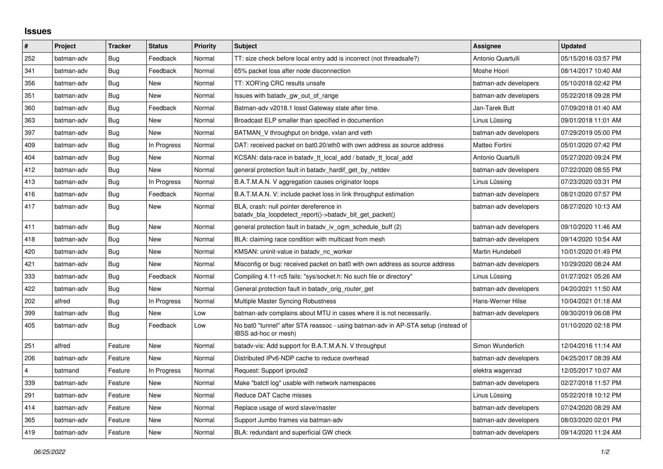## **Issues**

| $\vert$ # | Project    | <b>Tracker</b> | <b>Status</b> | Priority | <b>Subject</b>                                                                                            | Assignee              | <b>Updated</b>      |
|-----------|------------|----------------|---------------|----------|-----------------------------------------------------------------------------------------------------------|-----------------------|---------------------|
| 252       | batman-adv | <b>Bug</b>     | Feedback      | Normal   | TT: size check before local entry add is incorrect (not threadsafe?)                                      | Antonio Quartulli     | 05/15/2016 03:57 PM |
| 341       | batman-adv | Bug            | Feedback      | Normal   | 65% packet loss after node disconnection                                                                  | Moshe Hoori           | 08/14/2017 10:40 AM |
| 356       | batman-adv | <b>Bug</b>     | <b>New</b>    | Normal   | TT: XOR'ing CRC results unsafe                                                                            | batman-adv developers | 05/10/2018 02:42 PM |
| 351       | batman-adv | <b>Bug</b>     | New           | Normal   | Issues with batady gw out of range                                                                        | batman-adv developers | 05/22/2018 09:28 PM |
| 360       | batman-adv | Bug            | Feedback      | Normal   | Batman-adv v2018.1 losst Gateway state after time.                                                        | Jan-Tarek Butt        | 07/09/2018 01:40 AM |
| 363       | batman-adv | Bug            | <b>New</b>    | Normal   | Broadcast ELP smaller than specified in documention                                                       | Linus Lüssing         | 09/01/2018 11:01 AM |
| 397       | batman-adv | <b>Bug</b>     | <b>New</b>    | Normal   | BATMAN_V throughput on bridge, vxlan and veth                                                             | batman-adv developers | 07/29/2019 05:00 PM |
| 409       | batman-adv | <b>Bug</b>     | In Progress   | Normal   | DAT: received packet on bat0.20/eth0 with own address as source address                                   | Matteo Fortini        | 05/01/2020 07:42 PM |
| 404       | batman-adv | Bug            | New           | Normal   | KCSAN: data-race in batady tt local add / batady tt local add                                             | Antonio Quartulli     | 05/27/2020 09:24 PM |
| 412       | batman-adv | <b>Bug</b>     | New           | Normal   | general protection fault in batady_hardif_get_by_netdev                                                   | batman-adv developers | 07/22/2020 08:55 PM |
| 413       | batman-adv | <b>Bug</b>     | In Progress   | Normal   | B.A.T.M.A.N. V aggregation causes originator loops                                                        | Linus Lüssing         | 07/23/2020 03:31 PM |
| 416       | batman-adv | Bug            | Feedback      | Normal   | B.A.T.M.A.N. V: include packet loss in link throughput estimation                                         | batman-adv developers | 08/21/2020 07:57 PM |
| 417       | batman-adv | Bug            | <b>New</b>    | Normal   | BLA, crash: null pointer dereference in<br>batady bla loopdetect report()->batady bit get packet()        | batman-adv developers | 08/27/2020 10:13 AM |
| 411       | batman-adv | <b>Bug</b>     | New           | Normal   | general protection fault in batady iv ogm schedule buff (2)                                               | batman-adv developers | 09/10/2020 11:46 AM |
| 418       | batman-adv | Bug            | New           | Normal   | BLA: claiming race condition with multicast from mesh                                                     | batman-adv developers | 09/14/2020 10:54 AM |
| 420       | batman-adv | <b>Bug</b>     | <b>New</b>    | Normal   | KMSAN: uninit-value in batady nc worker                                                                   | Martin Hundebøll      | 10/01/2020 01:49 PM |
| 421       | batman-adv | <b>Bug</b>     | <b>New</b>    | Normal   | Misconfig or bug: received packet on bat0 with own address as source address                              | batman-adv developers | 10/29/2020 08:24 AM |
| 333       | batman-adv | Bug            | Feedback      | Normal   | Compiling 4.11-rc5 fails: "sys/socket.h: No such file or directory"                                       | Linus Lüssing         | 01/27/2021 05:26 AM |
| 422       | batman-adv | Bug            | <b>New</b>    | Normal   | General protection fault in batady orig router get                                                        | batman-adv developers | 04/20/2021 11:50 AM |
| 202       | alfred     | <b>Bug</b>     | In Progress   | Normal   | Multiple Master Syncing Robustness                                                                        | Hans-Werner Hilse     | 10/04/2021 01:18 AM |
| 399       | batman-adv | Bug            | <b>New</b>    | Low      | batman-adv complains about MTU in cases where it is not necessarily.                                      | batman-adv developers | 09/30/2019 06:08 PM |
| 405       | batman-adv | Bug            | Feedback      | Low      | No bat0 "tunnel" after STA reassoc - using batman-adv in AP-STA setup (instead of<br>IBSS ad-hoc or mesh) |                       | 01/10/2020 02:18 PM |
| 251       | alfred     | Feature        | New           | Normal   | batady-vis: Add support for B.A.T.M.A.N. V throughput                                                     | Simon Wunderlich      | 12/04/2016 11:14 AM |
| 206       | batman-adv | Feature        | <b>New</b>    | Normal   | Distributed IPv6-NDP cache to reduce overhead                                                             | batman-adv developers | 04/25/2017 08:39 AM |
| 4         | batmand    | Feature        | In Progress   | Normal   | Request: Support iproute2                                                                                 | elektra wagenrad      | 12/05/2017 10:07 AM |
| 339       | batman-adv | Feature        | New           | Normal   | Make "batctl log" usable with network namespaces                                                          | batman-adv developers | 02/27/2018 11:57 PM |
| 291       | batman-adv | Feature        | New           | Normal   | Reduce DAT Cache misses                                                                                   | Linus Lüssing         | 05/22/2018 10:12 PM |
| 414       | batman-adv | Feature        | New           | Normal   | Replace usage of word slave/master                                                                        | batman-adv developers | 07/24/2020 08:29 AM |
| 365       | batman-adv | Feature        | New           | Normal   | Support Jumbo frames via batman-adv                                                                       | batman-adv developers | 08/03/2020 02:01 PM |
| 419       | batman-adv | Feature        | New           | Normal   | BLA: redundant and superficial GW check                                                                   | batman-adv developers | 09/14/2020 11:24 AM |